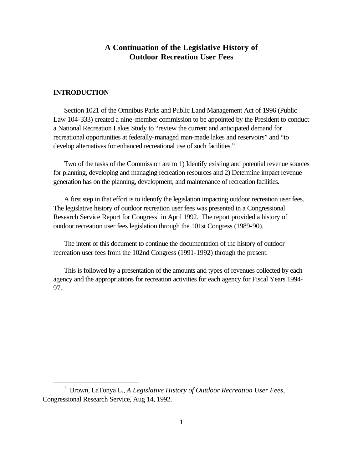# **A Continuation of the Legislative History of Outdoor Recreation User Fees**

### **INTRODUCTION**

 $\overline{a}$ 

Section 1021 of the Omnibus Parks and Public Land Management Act of 1996 (Public Law 104-333) created a nine-member commission to be appointed by the President to conduct a National Recreation Lakes Study to "review the current and anticipated demand for recreational opportunities at federally-managed man-made lakes and reservoirs" and "to develop alternatives for enhanced recreational use of such facilities."

Two of the tasks of the Commission are to 1) Identify existing and potential revenue sources for planning, developing and managing recreation resources and 2) Determine impact revenue generation has on the planning, development, and maintenance of recreation facilities.

A first step in that effort is to identify the legislation impacting outdoor recreation user fees. The legislative history of outdoor recreation user fees was presented in a Congressional Research Service Report for Congress<sup>1</sup> in April 1992. The report provided a history of outdoor recreation user fees legislation through the 101st Congress (1989-90).

The intent of this document to continue the documentation of the history of outdoor recreation user fees from the 102nd Congress (1991-1992) through the present.

This is followed by a presentation of the amounts and types of revenues collected by each agency and the appropriations for recreation activities for each agency for Fiscal Years 1994- 97.

<sup>1</sup> Brown, LaTonya L., *A Legislative History of Outdoor Recreation User Fees*, Congressional Research Service, Aug 14, 1992.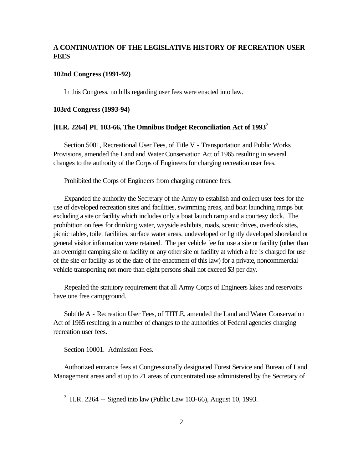# **A CONTINUATION OF THE LEGISLATIVE HISTORY OF RECREATION USER FEES**

#### **102nd Congress (1991-92)**

In this Congress, no bills regarding user fees were enacted into law.

#### **103rd Congress (1993-94)**

### **[H.R. 2264] PL 103-66, The Omnibus Budget Reconciliation Act of 1993**<sup>2</sup>

Section 5001, Recreational User Fees, of Title V - Transportation and Public Works Provisions, amended the Land and Water Conservation Act of 1965 resulting in several changes to the authority of the Corps of Engineers for charging recreation user fees.

Prohibited the Corps of Engineers from charging entrance fees.

Expanded the authority the Secretary of the Army to establish and collect user fees for the use of developed recreation sites and facilities, swimming areas, and boat launching ramps but excluding a site or facility which includes only a boat launch ramp and a courtesy dock. The prohibition on fees for drinking water, wayside exhibits, roads, scenic drives, overlook sites, picnic tables, toilet facilities, surface water areas, undeveloped or lightly developed shoreland or general visitor information were retained. The per vehicle fee for use a site or facility (other than an overnight camping site or facility or any other site or facility at which a fee is charged for use of the site or facility as of the date of the enactment of this law) for a private, noncommercial vehicle transporting not more than eight persons shall not exceed \$3 per day.

Repealed the statutory requirement that all Army Corps of Engineers lakes and reservoirs have one free campground.

Subtitle A - Recreation User Fees, of TITLE, amended the Land and Water Conservation Act of 1965 resulting in a number of changes to the authorities of Federal agencies charging recreation user fees.

Section 10001. Admission Fees.

 $\overline{a}$ 

Authorized entrance fees at Congressionally designated Forest Service and Bureau of Land Management areas and at up to 21 areas of concentrated use administered by the Secretary of

<sup>&</sup>lt;sup>2</sup> H.R. 2264 -- Signed into law (Public Law 103-66), August 10, 1993.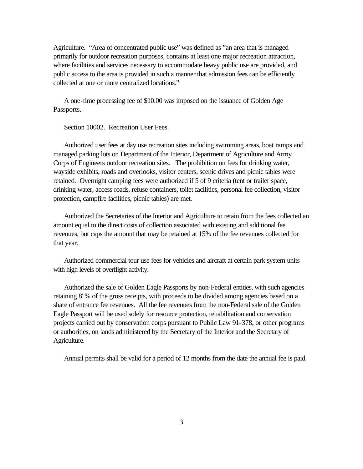Agriculture. "Area of concentrated public use" was defined as "an area that is managed primarily for outdoor recreation purposes, contains at least one major recreation attraction, where facilities and services necessary to accommodate heavy public use are provided, and public access to the area is provided in such a manner that admission fees can be efficiently collected at one or more centralized locations."

A one-time processing fee of \$10.00 was imposed on the issuance of Golden Age Passports.

Section 10002. Recreation User Fees.

Authorized user fees at day use recreation sites including swimming areas, boat ramps and managed parking lots on Department of the Interior, Department of Agriculture and Army Corps of Engineers outdoor recreation sites. The prohibition on fees for drinking water, wayside exhibits, roads and overlooks, visitor centers, scenic drives and picnic tables were retained. Overnight camping fees were authorized if 5 of 9 criteria (tent or trailer space, drinking water, access roads, refuse containers, toilet facilities, personal fee collection, visitor protection, campfire facilities, picnic tables) are met.

Authorized the Secretaries of the Interior and Agriculture to retain from the fees collected an amount equal to the direct costs of collection associated with existing and additional fee revenues, but caps the amount that may be retained at 15% of the fee revenues collected for that year.

Authorized commercial tour use fees for vehicles and aircraft at certain park system units with high levels of overflight activity.

Authorized the sale of Golden Eagle Passports by non-Federal entities, with such agencies retaining 8"% of the gross receipts, with proceeds to be divided among agencies based on a share of entrance fee revenues. All the fee revenues from the non-Federal sale of the Golden Eagle Passport will be used solely for resource protection, rehabilitation and conservation projects carried out by conservation corps pursuant to Public Law 91-378, or other programs or authorities, on lands administered by the Secretary of the Interior and the Secretary of Agriculture.

Annual permits shall be valid for a period of 12 months from the date the annual fee is paid.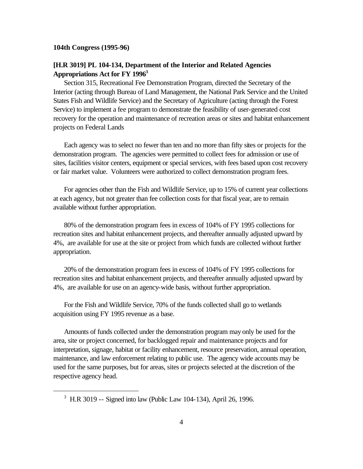#### **104th Congress (1995-96)**

 $\overline{a}$ 

# **[H.R 3019] PL 104-134, Department of the Interior and Related Agencies Appropriations Act for FY 1996<sup>3</sup>**

Section 315, Recreational Fee Demonstration Program, directed the Secretary of the Interior (acting through Bureau of Land Management, the National Park Service and the United States Fish and Wildlife Service) and the Secretary of Agriculture (acting through the Forest Service) to implement a fee program to demonstrate the feasibility of user-generated cost recovery for the operation and maintenance of recreation areas or sites and habitat enhancement projects on Federal Lands

Each agency was to select no fewer than ten and no more than fifty sites or projects for the demonstration program. The agencies were permitted to collect fees for admission or use of sites, facilities visitor centers, equipment or special services, with fees based upon cost recovery or fair market value. Volunteers were authorized to collect demonstration program fees.

For agencies other than the Fish and Wildlife Service, up to 15% of current year collections at each agency, but not greater than fee collection costs for that fiscal year, are to remain available without further appropriation.

80% of the demonstration program fees in excess of 104% of FY 1995 collections for recreation sites and habitat enhancement projects, and thereafter annually adjusted upward by 4%, are available for use at the site or project from which funds are collected without further appropriation.

20% of the demonstration program fees in excess of 104% of FY 1995 collections for recreation sites and habitat enhancement projects, and thereafter annually adjusted upward by 4%, are available for use on an agency-wide basis, without further appropriation.

For the Fish and Wildlife Service, 70% of the funds collected shall go to wetlands acquisition using FY 1995 revenue as a base.

Amounts of funds collected under the demonstration program may only be used for the area, site or project concerned, for backlogged repair and maintenance projects and for interpretation, signage, habitat or facility enhancement, resource preservation, annual operation, maintenance, and law enforcement relating to public use. The agency wide accounts may be used for the same purposes, but for areas, sites or projects selected at the discretion of the respective agency head.

<sup>&</sup>lt;sup>3</sup> H.R 3019 -- Signed into law (Public Law 104-134), April 26, 1996.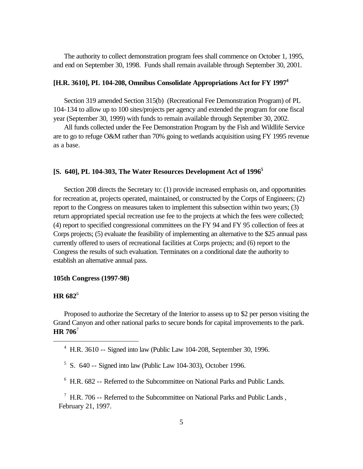The authority to collect demonstration program fees shall commence on October 1, 1995, and end on September 30, 1998. Funds shall remain available through September 30, 2001.

### **[H.R. 3610], PL 104-208, Omnibus Consolidate Appropriations Act for FY 1997<sup>4</sup>**

Section 319 amended Section 315(b) (Recreational Fee Demonstration Program) of PL 104-134 to allow up to 100 sites/projects per agency and extended the program for one fiscal year (September 30, 1999) with funds to remain available through September 30, 2002.

All funds collected under the Fee Demonstration Program by the Fish and Wildlife Service are to go to refuge O&M rather than 70% going to wetlands acquisition using FY 1995 revenue as a base.

#### **[S. 640], PL 104-303, The Water Resources Development Act of 1996<sup>5</sup>**

Section 208 directs the Secretary to: (1) provide increased emphasis on, and opportunities for recreation at, projects operated, maintained, or constructed by the Corps of Engineers; (2) report to the Congress on measures taken to implement this subsection within two years; (3) return appropriated special recreation use fee to the projects at which the fees were collected; (4) report to specified congressional committees on the FY 94 and FY 95 collection of fees at Corps projects; (5) evaluate the feasibility of implementing an alternative to the \$25 annual pass currently offered to users of recreational facilities at Corps projects; and (6) report to the Congress the results of such evaluation. Terminates on a conditional date the authority to establish an alternative annual pass.

#### **105th Congress (1997-98)**

#### **HR 682**<sup>6</sup>

 $\overline{a}$ 

Proposed to authorize the Secretary of the Interior to assess up to \$2 per person visiting the Grand Canyon and other national parks to secure bonds for capital improvements to the park. **HR 706**<sup>7</sup>

- $5$  S. 640 -- Signed into law (Public Law 104-303), October 1996.
- <sup>6</sup> H.R. 682 -- Referred to the Subcommittee on National Parks and Public Lands.

 $7$  H.R. 706 -- Referred to the Subcommittee on National Parks and Public Lands, February 21, 1997.

<sup>4</sup> H.R. 3610 -- Signed into law (Public Law 104-208, September 30, 1996.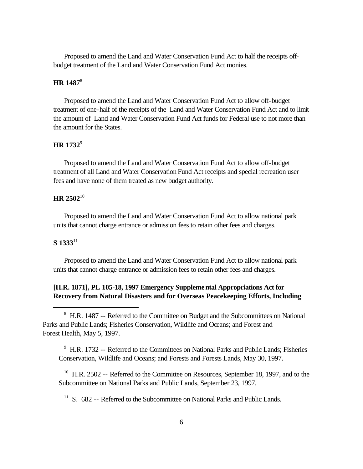Proposed to amend the Land and Water Conservation Fund Act to half the receipts offbudget treatment of the Land and Water Conservation Fund Act monies.

# **HR 1487**<sup>8</sup>

Proposed to amend the Land and Water Conservation Fund Act to allow off-budget treatment of one-half of the receipts of the Land and Water Conservation Fund Act and to limit the amount of Land and Water Conservation Fund Act funds for Federal use to not more than the amount for the States.

## **HR 1732**<sup>9</sup>

Proposed to amend the Land and Water Conservation Fund Act to allow off-budget treatment of all Land and Water Conservation Fund Act receipts and special recreation user fees and have none of them treated as new budget authority.

## **HR 2502**<sup>10</sup>

Proposed to amend the Land and Water Conservation Fund Act to allow national park units that cannot charge entrance or admission fees to retain other fees and charges.

### **S 1333**<sup>11</sup>

 $\overline{a}$ 

Proposed to amend the Land and Water Conservation Fund Act to allow national park units that cannot charge entrance or admission fees to retain other fees and charges.

# **[H.R. 1871], PL 105-18, 1997 Emergency Supplemental Appropriations Act for Recovery from Natural Disasters and for Overseas Peacekeeping Efforts, Including**

<sup>9</sup> H.R. 1732 -- Referred to the Committees on National Parks and Public Lands; Fisheries Conservation, Wildlife and Oceans; and Forests and Forests Lands, May 30, 1997.

 $10$  H.R. 2502 -- Referred to the Committee on Resources, September 18, 1997, and to the Subcommittee on National Parks and Public Lands, September 23, 1997.

<sup>11</sup> S. 682 -- Referred to the Subcommittee on National Parks and Public Lands.

<sup>&</sup>lt;sup>8</sup> H.R. 1487 -- Referred to the Committee on Budget and the Subcommittees on National Parks and Public Lands; Fisheries Conservation, Wildlife and Oceans; and Forest and Forest Health, May 5, 1997.